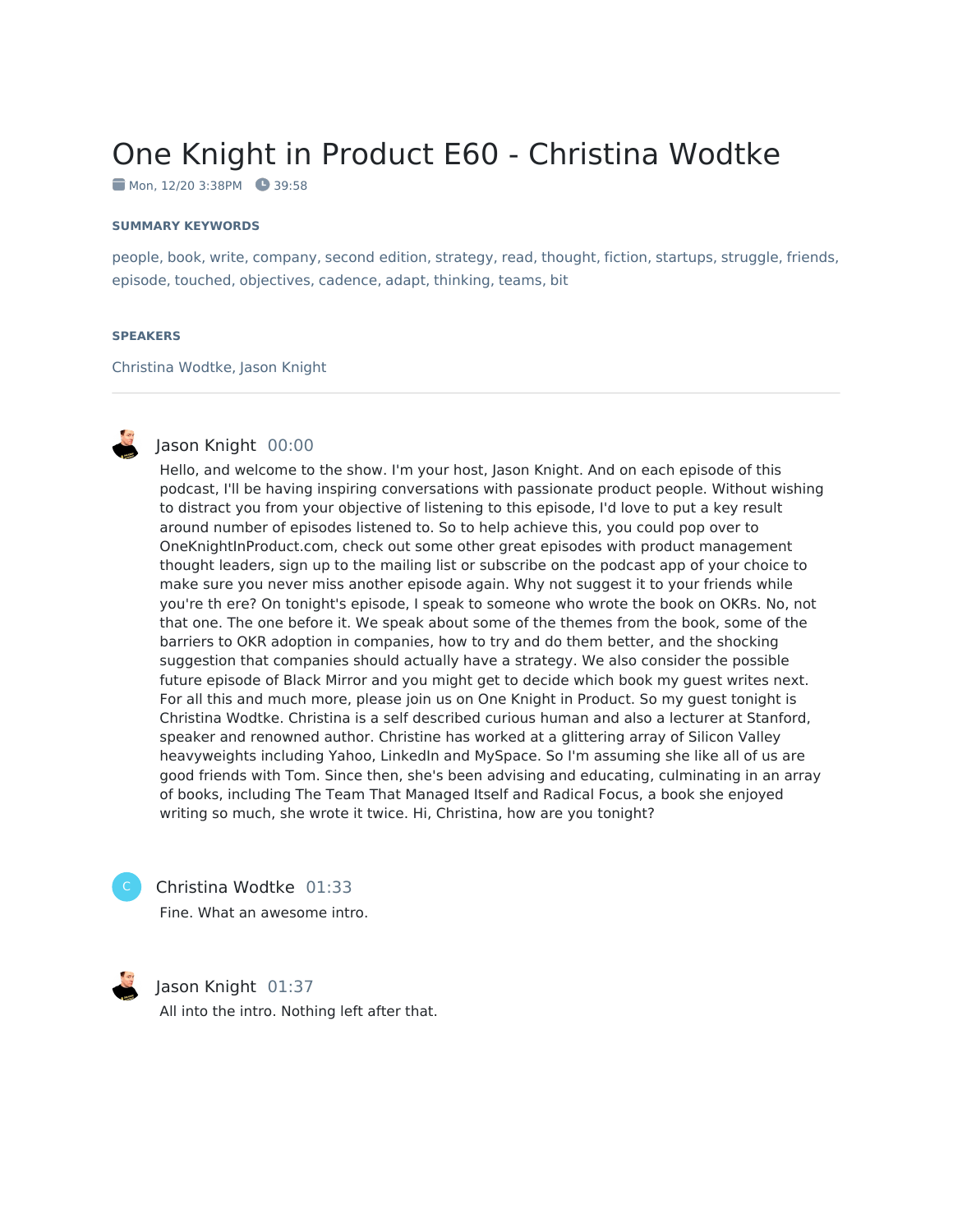# One Knight in Product E60 - Christina Wodtke

Mon, 12/20 3:38PM 39:58

#### **SUMMARY KEYWORDS**

people, book, write, company, second edition, strategy, read, thought, fiction, startups, struggle, friends, episode, touched, objectives, cadence, adapt, thinking, teams, bit

#### **SPEAKERS**

Christina Wodtke, Jason Knight



# Jason Knight 00:00

Hello, and welcome to the show. I'm your host, Jason Knight. And on each episode of this podcast, I'll be having inspiring conversations with passionate product people. Without wishing to distract you from your objective of listening to this episode, I'd love to put a key result around number of episodes listened to. So to help achieve this, you could pop over to OneKnightInProduct.com, check out some other great episodes with product management thought leaders, sign up to the mailing list or subscribe on the podcast app of your choice to make sure you never miss another episode again. Why not suggest it to your friends while you're th ere? On tonight's episode, I speak to someone who wrote the book on OKRs. No, not that one. The one before it. We speak about some of the themes from the book, some of the barriers to OKR adoption in companies, how to try and do them better, and the shocking suggestion that companies should actually have a strategy. We also consider the possible future episode of Black Mirror and you might get to decide which book my guest writes next. For all this and much more, please join us on One Knight in Product. So my guest tonight is Christina Wodtke. Christina is a self described curious human and also a lecturer at Stanford, speaker and renowned author. Christine has worked at a glittering array of Silicon Valley heavyweights including Yahoo, LinkedIn and MySpace. So I'm assuming she like all of us are good friends with Tom. Since then, she's been advising and educating, culminating in an array of books, including The Team That Managed Itself and Radical Focus, a book she enjoyed writing so much, she wrote it twice. Hi, Christina, how are you tonight?



#### Christina Wodtke 01:33

Fine. What an awesome intro.



# Jason Knight 01:37

All into the intro. Nothing left after that.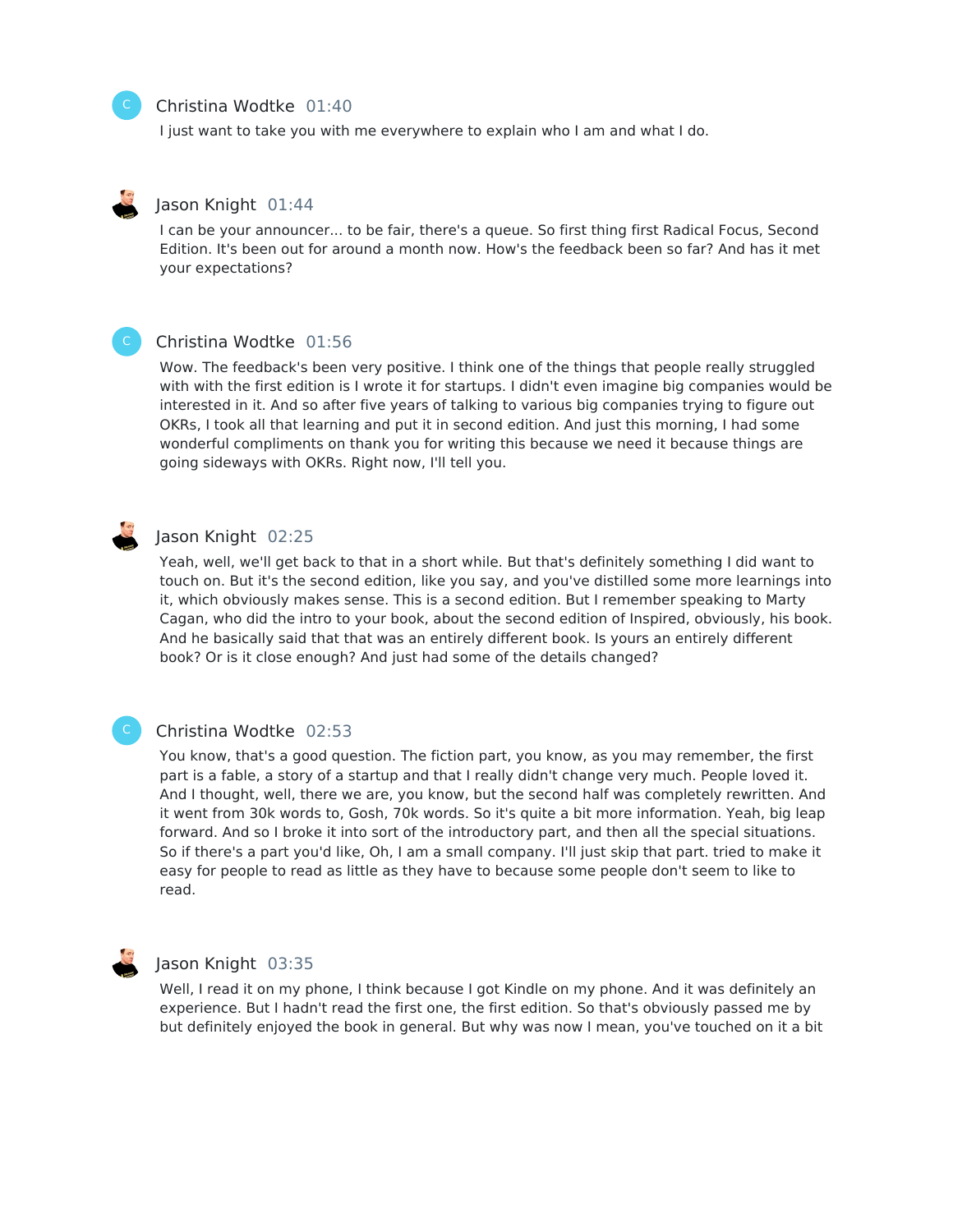#### Christina Wodtke 01:40

I just want to take you with me everywhere to explain who I am and what I do.



#### Jason Knight 01:44

I can be your announcer... to be fair, there's a queue. So first thing first Radical Focus, Second Edition. It's been out for around a month now. How's the feedback been so far? And has it met your expectations?



### Christina Wodtke 01:56

Wow. The feedback's been very positive. I think one of the things that people really struggled with with the first edition is I wrote it for startups. I didn't even imagine big companies would be interested in it. And so after five years of talking to various big companies trying to figure out OKRs, I took all that learning and put it in second edition. And just this morning, I had some wonderful compliments on thank you for writing this because we need it because things are going sideways with OKRs. Right now, I'll tell you.



#### Jason Knight 02:25

Yeah, well, we'll get back to that in a short while. But that's definitely something I did want to touch on. But it's the second edition, like you say, and you've distilled some more learnings into it, which obviously makes sense. This is a second edition. But I remember speaking to Marty Cagan, who did the intro to your book, about the second edition of Inspired, obviously, his book. And he basically said that that was an entirely different book. Is yours an entirely different book? Or is it close enough? And just had some of the details changed?

# C

#### Christina Wodtke 02:53

You know, that's a good question. The fiction part, you know, as you may remember, the first part is a fable, a story of a startup and that I really didn't change very much. People loved it. And I thought, well, there we are, you know, but the second half was completely rewritten. And it went from 30k words to, Gosh, 70k words. So it's quite a bit more information. Yeah, big leap forward. And so I broke it into sort of the introductory part, and then all the special situations. So if there's a part you'd like, Oh, I am a small company. I'll just skip that part. tried to make it easy for people to read as little as they have to because some people don't seem to like to read.



#### Jason Knight 03:35

Well, I read it on my phone, I think because I got Kindle on my phone. And it was definitely an experience. But I hadn't read the first one, the first edition. So that's obviously passed me by but definitely enjoyed the book in general. But why was now Imean, you've touched on it a bit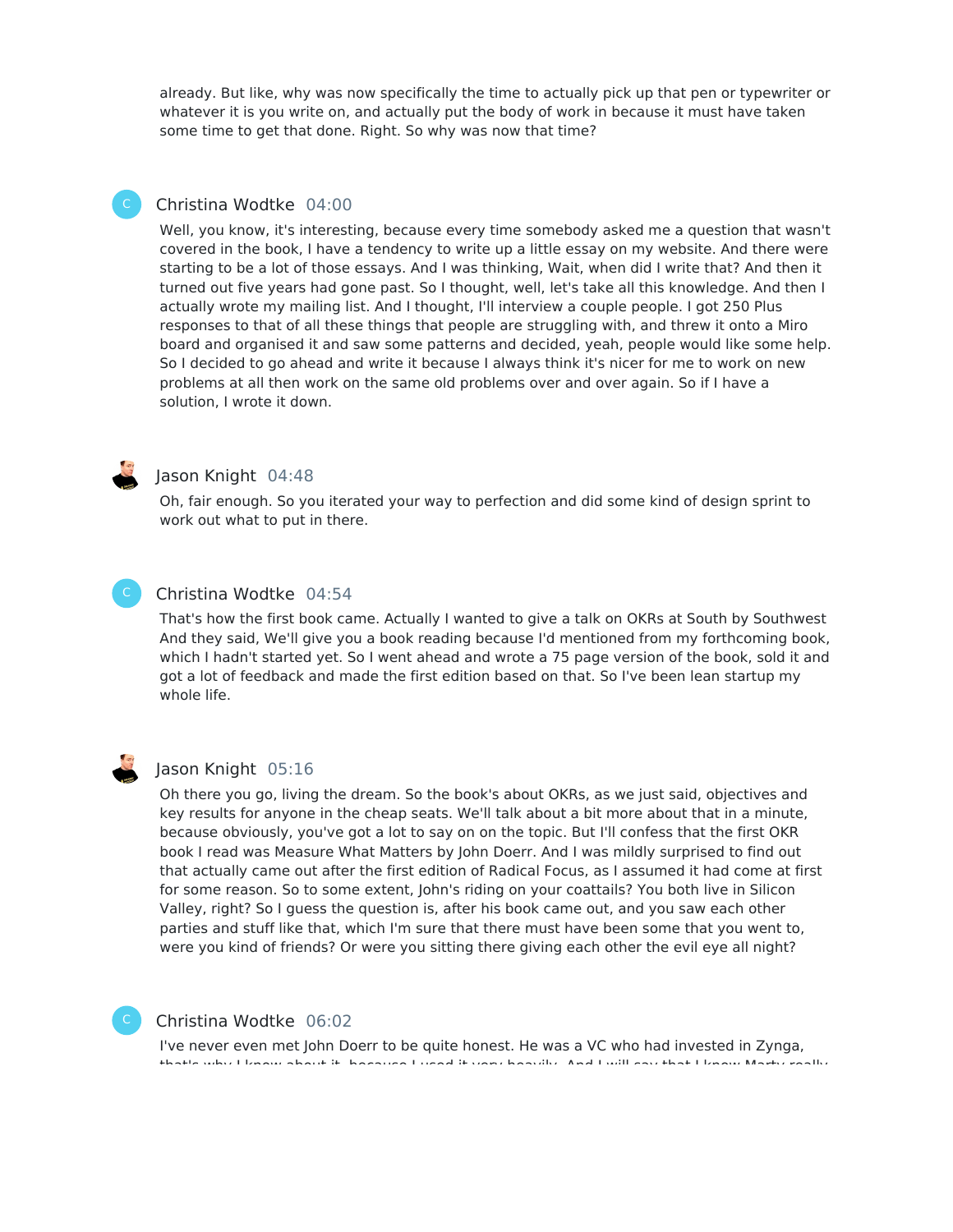already. But like, why was now specifically the time to actually pick up that pen or typewriter or whatever it is you write on, and actually put the body of work in because it must have taken some time to get that done. Right. So why was now that time?

# Christina Wodtke 04:00

Well, you know, it's interesting, because every time somebody asked me a question that wasn't covered in the book, I have a tendency to write up a little essay on my website. And there were starting to be a lot of those essays. And I was thinking, Wait, when did I write that? And then it turned out five years had gone past. So I thought, well, let's take all this knowledge. And then I actually wrote my mailing list. And I thought, I'll interview a couple people. I got 250 Plus responses to that of all these things that people are struggling with, and threw it onto a Miro board and organised it and saw some patterns and decided, yeah, people would like some help. So I decided to go ahead and write it because I always think it's nicer for me to work on new problems at all then work on the same old problems over and over again. So if I have a solution, I wrote it down.



#### Jason Knight 04:48

Oh, fair enough. So you iterated your way to perfection and did some kind of design sprint to work out what to put in there.

#### Christina Wodtke 04:54

That's how the first book came. Actually I wanted to give a talk on OKRs at South by Southwest And they said, We'll give you a book reading because I'd mentioned from my forthcoming book, which I hadn't started yet. So I went ahead and wrote a 75 page version of the book, sold it and got a lot of feedback and made the first edition based on that. So I've been lean startup my whole life.



#### Jason Knight 05:16

Oh there you go, living the dream. So the book's about OKRs, as we just said, objectives and key results for anyone in the cheap seats. We'll talk about a bit more about that in a minute, because obviously, you've got a lot to say on on the topic. But I'll confess that the first OKR book I read was Measure What Matters by John Doerr. And I was mildly surprised to find out that actually came out after the first edition of Radical Focus, as I assumed it had come at first for some reason. So to some extent, John's riding on your coattails? You both live in Silicon Valley, right? So I guess the question is, after his book came out, and you saw each other parties and stuff like that, which I'm sure that there must have been some that you went to, were you kind of friends? Or were you sitting there giving each other the evil eye all night?



#### Christina Wodtke 06:02

I've never even met John Doerr to be quite honest. He was a VC who had invested in Zynga, that's why I know about it, because I used it very heavily. And I will say that I know Marty really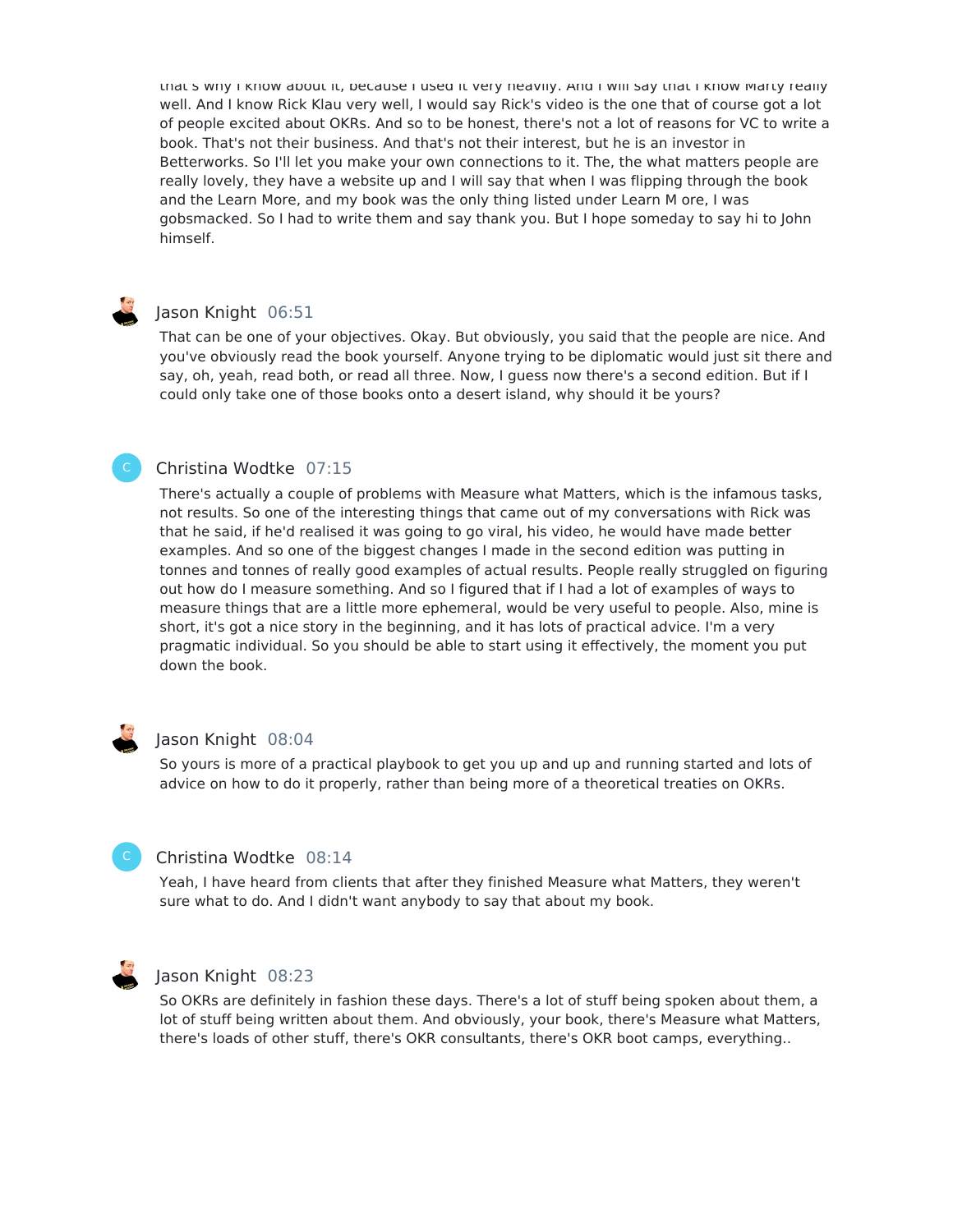that's why I know about it, because I used it very heavily. And I will say that I know Marty really well. And I know Rick Klau very well, I would say Rick's video is the one that of course got a lot of people excited about OKRs. And so to be honest, there's not a lot of reasons for VC to write a book. That's not their business. And that's not their interest, but he is an investor in Betterworks. So I'll let you make your own connections to it. The, the what matters people are really lovely, they have a website up and I will say that when I was flipping through the book and the Learn More, and my book was the only thing listed under Learn M ore, I was gobsmacked. So I had to write them and say thank you. But I hope someday to say hi to John himself.

# Jason Knight 06:51

That can be one of your objectives. Okay. But obviously, you said that the people are nice. And you've obviously read the book yourself. Anyone trying to be diplomatic would just sit there and say, oh, yeah, read both, or read all three. Now, I guess now there's a second edition. But if I could only take one of those books onto a desert island, why should it be yours?

# Christina Wodtke 07:15

There's actually a couple of problems with Measure what Matters, which is the infamous tasks, not results. So one of the interesting things that came out of my conversations with Rick was that he said, if he'd realised it was going to go viral, his video, he would have made better examples. And so one of the biggest changes I made in the second edition was putting in tonnes and tonnes of really good examples of actual results. People really struggled on figuring out how do I measure something. And so I figured that if I had a lot of examples of ways to measure things that are a little more ephemeral, would be very useful to people. Also, mine is short, it's got a nice story in the beginning, and it has lots of practical advice. I'm a very pragmatic individual. So you should be able to start using it effectively, the moment you put down the book.

# Jason Knight 08:04

So yours is more of a practical playbook to get you up and up and running started and lots of advice on how to do it properly, rather than being more of a theoretical treaties on OKRs.

# Christina Wodtke 08:14

Yeah, I have heard from clients that after they finished Measure what Matters, they weren't sure what to do. And I didn't want anybody to say that about my book.



#### Jason Knight 08:23

So OKRs are definitely in fashion these days. There's a lot of stuff being spoken about them, a lot of stuff being written about them. And obviously, your book, there's Measure what Matters, there's loads of other stuff, there's OKR consultants, there's OKR boot camps, everything..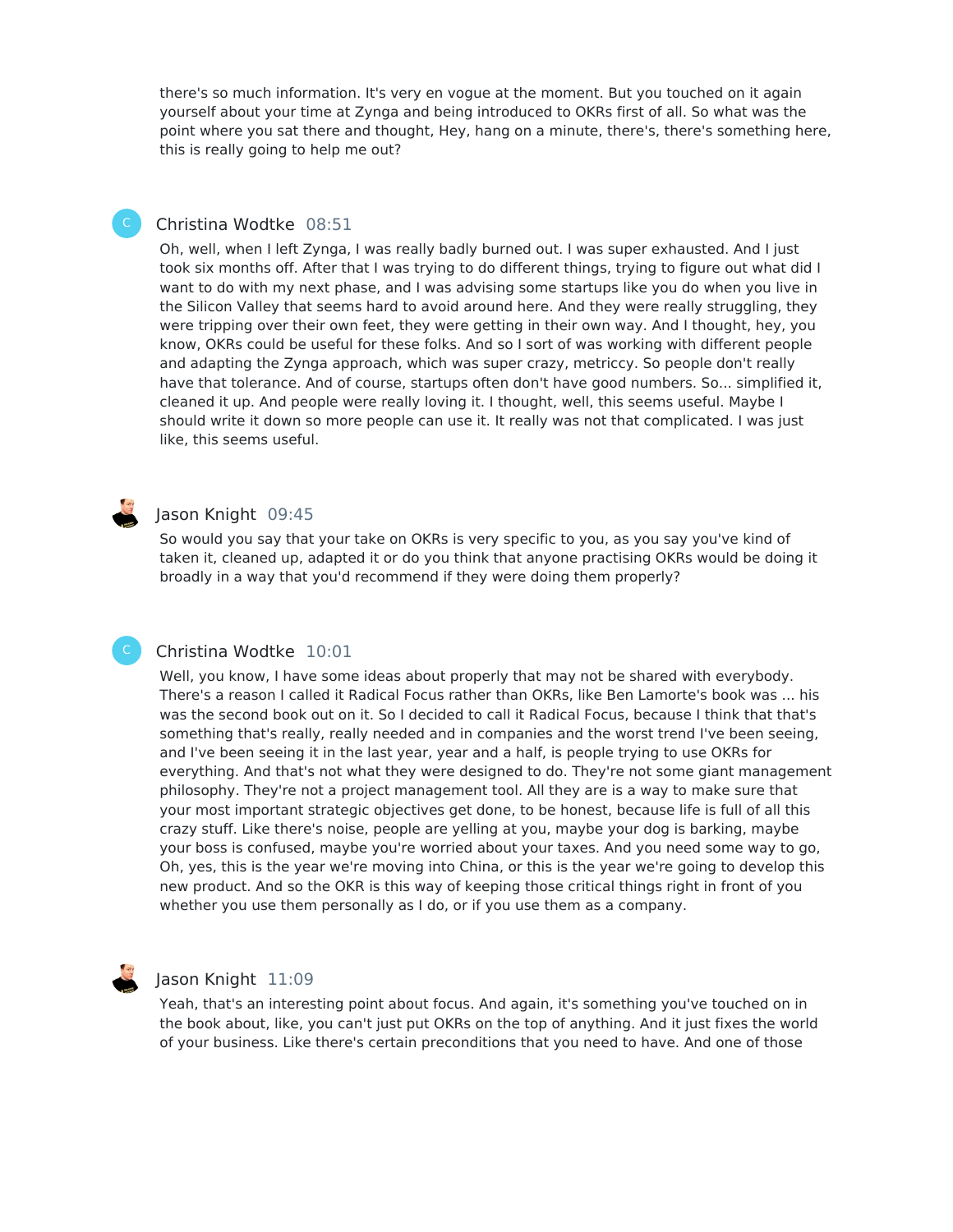there's so much information. It's very en vogue at the moment. But you touched on it again yourself about your time at Zynga and being introduced to OKRs first of all. So what was the point where you sat there and thought, Hey, hang on a minute, there's, there's something here, this is really going to help me out?

### Christina Wodtke 08:51

Oh, well, when I left Zynga, I was really badly burned out. I was super exhausted. And I just took six months off. After that I was trying to do different things, trying to figure out what did I want to do with my next phase, and I was advising some startups like you do when you live in the Silicon Valley that seems hard to avoid around here. And they were really struggling, they were tripping over their own feet, they were getting in their own way. And I thought, hey, you know, OKRs could be useful for these folks. And so I sort of was working with different people and adapting the Zynga approach, which was super crazy, metriccy. So people don't really have that tolerance. And of course, startups often don't have good numbers. So... simplified it, cleaned it up. And people were really loving it. I thought, well, this seems useful. Maybe I should write it down so more people can use it. It really was not that complicated. I was just like, this seems useful.

# Jason Knight 09:45

So would you say that your take on OKRs is very specific to you, as you say you've kind of taken it, cleaned up, adapted it or do you think that anyone practising OKRs would be doing it broadly in a way that you'd recommend if they were doing them properly?

# Christina Wodtke 10:01

Well, you know, I have some ideas about properly that may not be shared with everybody. There's a reason I called it Radical Focus rather than OKRs, like Ben Lamorte's book was ... his was the second book out on it. So I decided to call it Radical Focus, because I think that that's something that's really, really needed and in companies and the worst trend I've been seeing, and I've been seeing it in the last year, year and a half, is people trying to use OKRs for everything. And that's not what they were designed to do. They're not some giant management philosophy. They're not a project management tool. All they are is a way to make sure that your most important strategic objectives get done, to be honest, because life is full of all this crazy stuff. Like there's noise, people are yelling at you, maybe your dog is barking, maybe your boss is confused, maybe you're worried about your taxes. And you need some way to go, Oh, yes, this is the year we're moving into China, or this is the year we're going to develop this new product. And so the OKR is this way of keeping those critical things right in front of you whether you use them personally as I do, or if you use them as a company.



C

#### Jason Knight 11:09

Yeah, that's an interesting point about focus. And again, it's something you've touched on in the book about, like, you can't just put OKRs on the top of anything. And it just fixes the world of your business. Like there's certain preconditions that you need to have. And one of those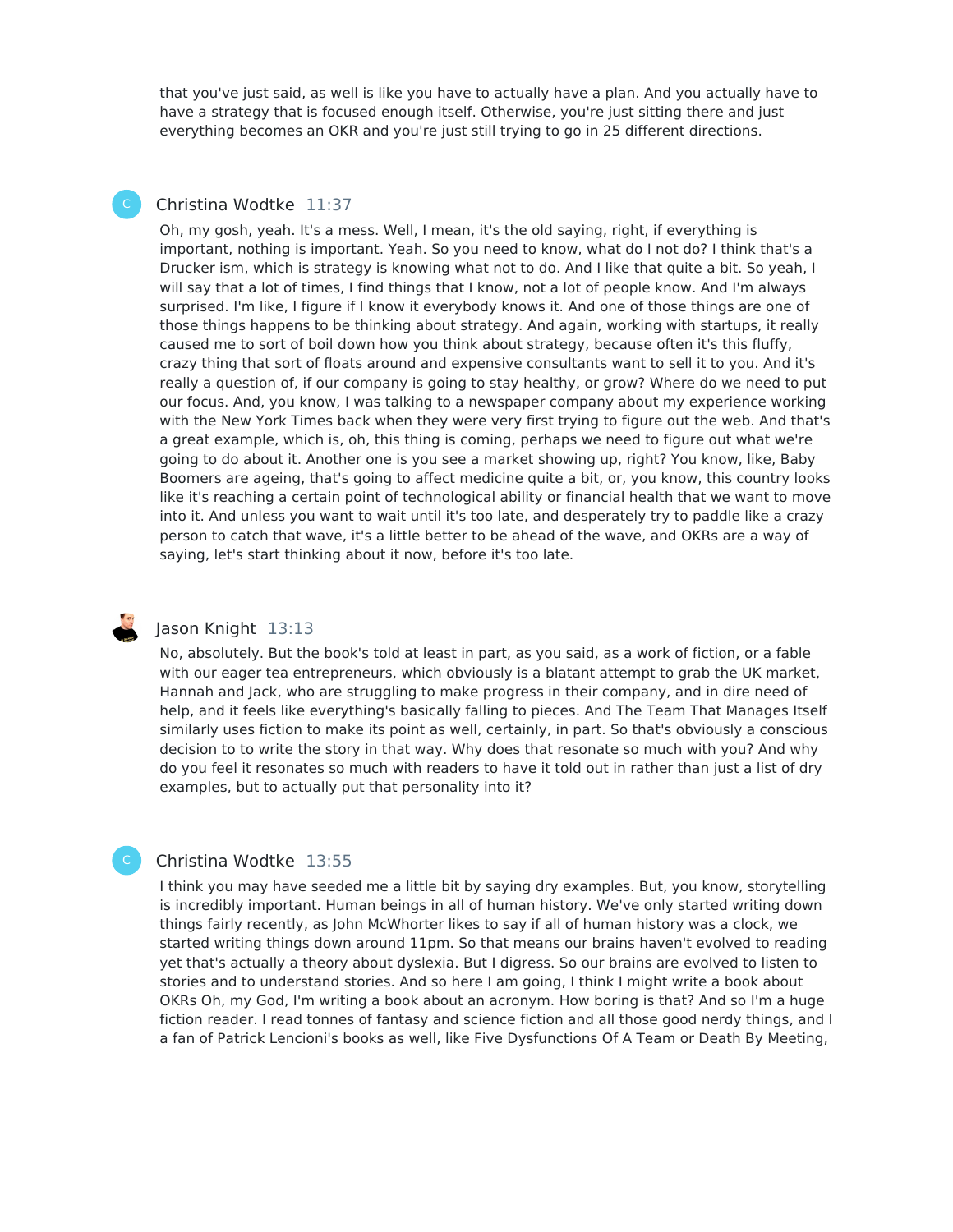that you've just said, as well is like you have to actually have a plan. And you actually have to have a strategy that is focused enough itself. Otherwise, you're just sitting there and just everything becomes an OKR and you're just still trying to go in 25 different directions.

# Christina Wodtke 11:37

Oh, my gosh, yeah. It's a mess. Well, I mean, it's the old saying, right, if everything is important, nothing is important. Yeah. So you need to know, what do I not do? I think that's a Drucker ism, which is strategy is knowing what not to do. And I like that quite a bit. So yeah, I will say that a lot of times, I find things that I know, not a lot of people know. And I'm always surprised. I'm like, I figure if I know it everybody knows it. And one of those things are one of those things happens to be thinking about strategy. And again, working with startups, it really caused me to sort of boil down how you think about strategy, because often it's this fluffy, crazy thing that sort of floats around and expensive consultants want to sell it to you. And it's really a question of, if our company is going to stay healthy, or grow? Where do we need to put our focus. And, you know, I was talking to a newspaper company about my experience working with the New York Times back when they were very first trying to figure out the web. And that's a great example, which is, oh, this thing is coming, perhaps we need to figure out what we're going to do about it. Another one is you see a market showing up, right? You know, like, Baby Boomers are ageing, that's going to affect medicine quite a bit, or, you know, this country looks like it's reaching a certain point of technological ability or financial health that we want to move into it. And unless you want to wait until it's too late, and desperately try to paddle like a crazy person to catch that wave, it's a little better to be ahead of the wave, and OKRs are a way of saying, let's start thinking about it now, before it's too late.



C

# Jason Knight 13:13

No, absolutely. But the book's told at least in part, as you said, as a work of fiction, or a fable with our eager tea entrepreneurs, which obviously is a blatant attempt to grab the UK market, Hannah and Jack, who are struggling to make progress in their company, and in dire need of help, and it feels like everything's basically falling to pieces. And The Team That Manages Itself similarly uses fiction to make its point as well, certainly, in part. So that's obviously a conscious decision to to write the story in that way. Why does that resonate so much with you? And why do you feel it resonates so much with readers to have it told out in rather than just a list of dry examples, but to actually put that personality into it?

# Christina Wodtke 13:55

I think you may have seeded me a little bit by saying dry examples. But, you know, storytelling is incredibly important. Human beings in all of human history. We've only started writing down things fairly recently, as John McWhorter likes to say if all of human history was a clock, we started writing things down around 11pm. So that means our brains haven't evolved to reading yet that's actually a theory about dyslexia. But I digress. So our brains are evolved to listen to stories and to understand stories. And so here I am going, I think I might write a book about OKRs Oh, my God, I'm writing a book about an acronym. How boring is that? And so I'm a huge fiction reader. I read tonnes of fantasy and science fiction and all those good nerdy things, and I a fan of Patrick Lencioni's books as well, like Five Dysfunctions Of A Team or Death By Meeting,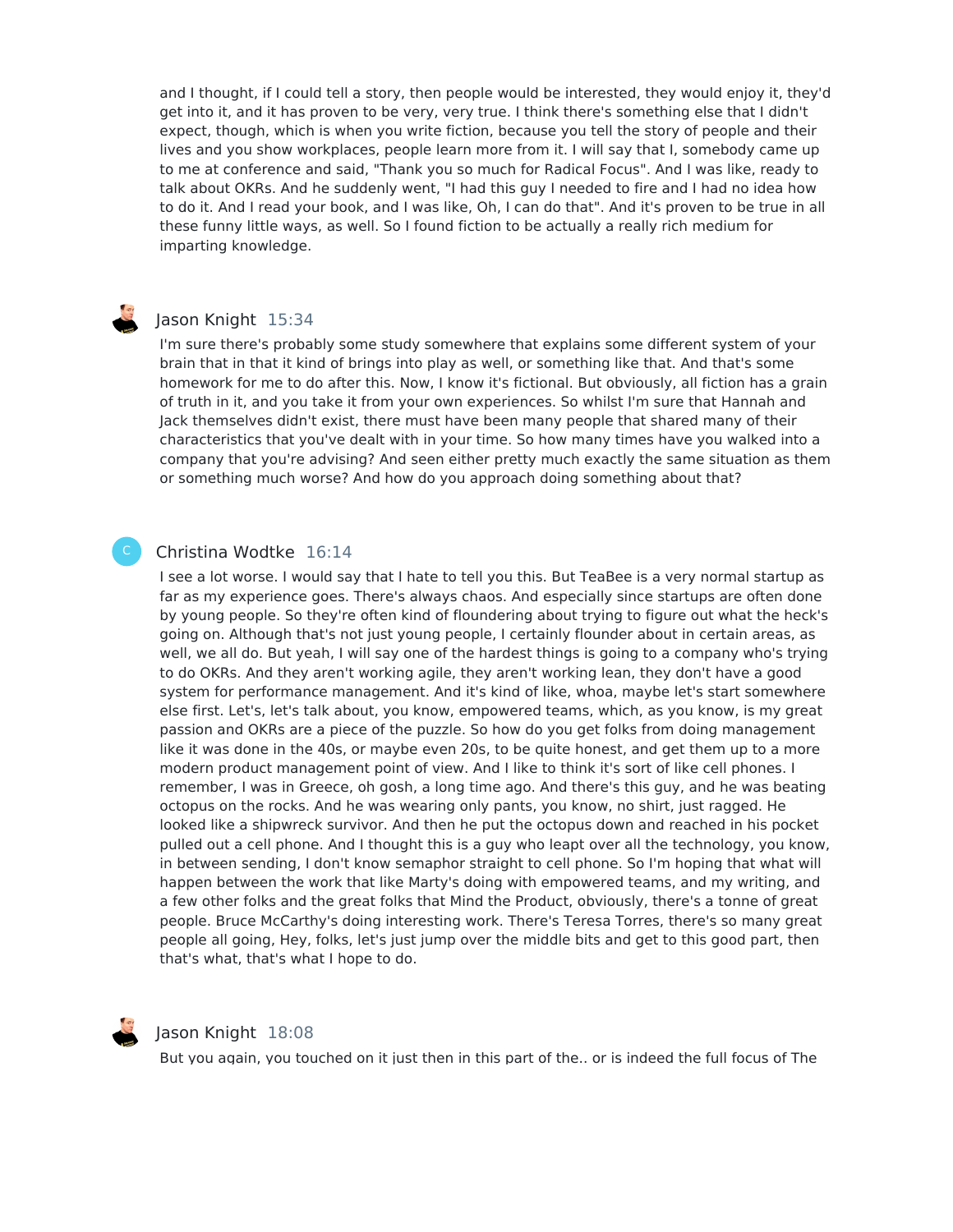and I thought, if I could tell a story, then people would be interested, they would enjoy it, they'd get into it, and it has proven to be very, very true. I think there's something else that I didn't expect, though, which is when you write fiction, because you tell the story of people and their lives and you show workplaces, people learn more from it. I will say that I, somebody came up to me at conference and said, "Thank you so much for Radical Focus". And I was like, ready to talk about OKRs. And he suddenly went, "I had this guy I needed to fire and I had no idea how to do it. And I read your book, and I was like, Oh, I can do that". And it's proven to be true in all these funny little ways, as well. So I found fiction to be actually a really rich medium for imparting knowledge.

# Jason Knight 15:34

I'm sure there's probably some study somewhere that explains some different system of your brain that in that it kind of brings into play as well, or something like that. And that's some homework for me to do after this. Now, I know it's fictional. But obviously, all fiction has a grain of truth in it, and you take it from your own experiences. So whilst I'm sure that Hannah and Jack themselves didn't exist, there must have been many people that shared many of their characteristics that you've dealt with in your time. So how many times have you walked into a company that you're advising? And seen either pretty much exactly the same situation as them or something much worse? And how do you approach doing something about that?

#### Christina Wodtke 16:14

I see a lot worse. I would say that I hate to tell you this. But TeaBee is a very normal startup as far as my experience goes. There's always chaos. And especially since startups are often done by young people. So they're often kind of floundering about trying to figure out what the heck's going on. Although that's not just young people, I certainly flounder about in certain areas, as well, we all do. But yeah, I will say one of the hardest things is going to a company who's trying to do OKRs. And they aren't working agile, they aren't working lean, they don't have a good system for performance management. And it's kind of like, whoa, maybe let's start somewhere else first. Let's, let's talk about, you know, empowered teams, which, as you know, is my great passion and OKRs are a piece of the puzzle. So how do you get folks from doing management like it was done in the 40s, or maybe even 20s, to be quite honest, and get them up to a more modern product management point of view. And I like to think it's sort of like cell phones. I remember, I was in Greece, oh gosh, a long time ago. And there's this guy, and he was beating octopus on the rocks. And he was wearing only pants, you know, no shirt, just ragged. He looked like a shipwreck survivor. And then he put the octopus down and reached in his pocket pulled out a cell phone. And I thought this is a guy who leapt over all the technology, you know, in between sending, I don't know semaphor straight to cell phone. So I'm hoping that what will happen between the work that like Marty's doing with empowered teams, and my writing, and a few other folks and the great folks that Mind the Product, obviously, there's a tonne of great people. Bruce McCarthy's doing interesting work. There's Teresa Torres, there's so many great people all going, Hey, folks, let's just jump over the middle bits and get to this good part, then that's what, that's what I hope to do.



C

#### Jason Knight 18:08

But you again, you touched on it just then in this part of the.. or is indeed the full focus of The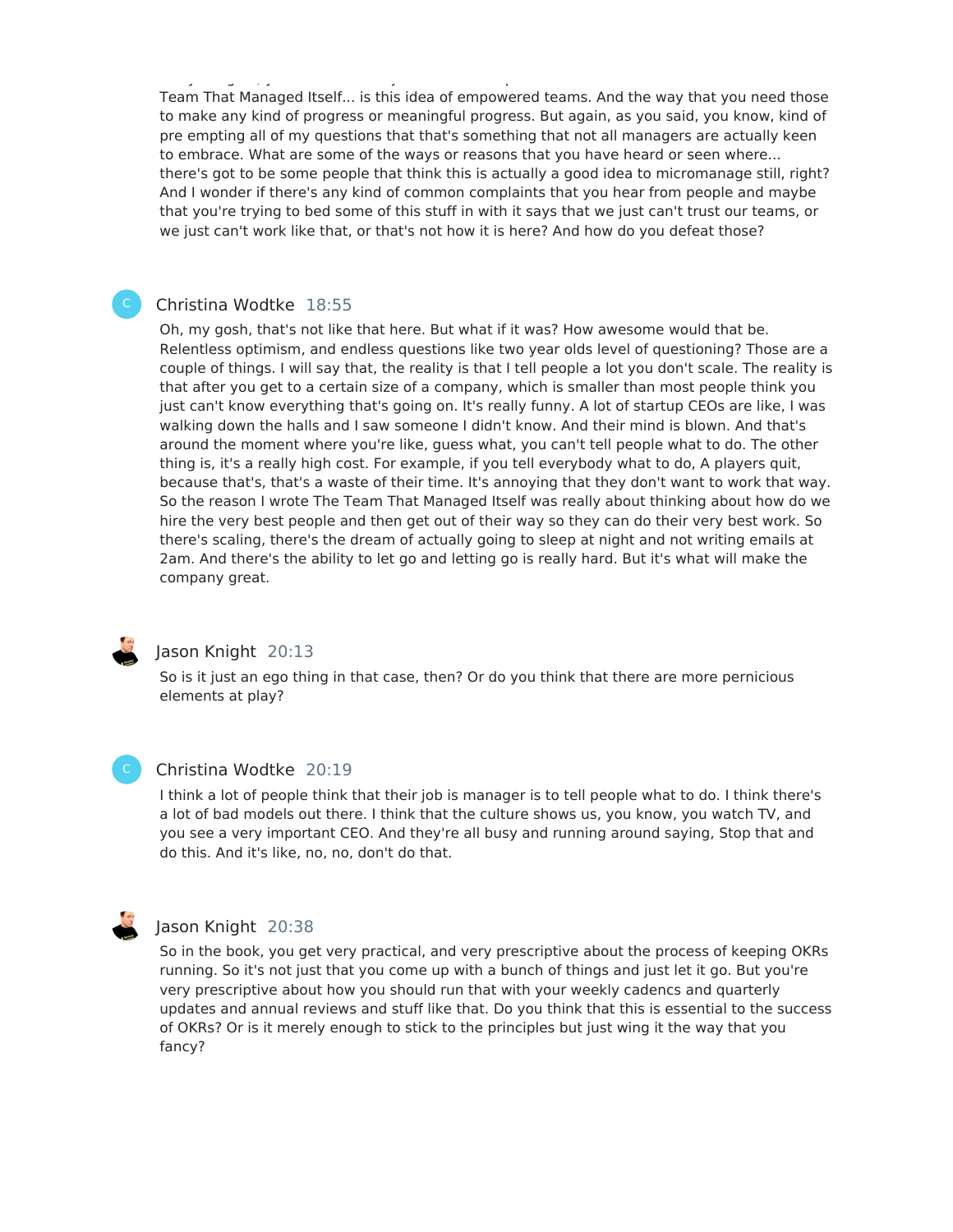But you again, you touched on it just then in this part of the.. or is indeed the full focus of The Team That Managed Itself... is this idea of empowered teams. And the way that you need those to make any kind of progress or meaningful progress. But again, as you said, you know, kind of pre empting all of my questions that that's something that not all managers are actually keen to embrace. What are some of the ways or reasons that you have heard or seen where... there's got to be some people that think this is actually a good idea to micromanage still, right? And I wonder if there's any kind of common complaints that you hear from people and maybe that you're trying to bed some of this stuff in with it says that we just can't trust our teams, or we just can't work like that, or that's not how it is here? And how do you defeat those?

#### Christina Wodtke 18:55

Oh, my gosh, that's not like that here. But what if it was? How awesome would that be. Relentless optimism, and endless questions like two year olds level of questioning? Those are a couple of things. I will say that, the reality is that I tell people a lot you don't scale. The reality is that after you get to a certain size of a company, which is smaller than most people think you just can't know everything that's going on. It's really funny. A lot of startup CEOs are like, I was walking down the halls and I saw someone I didn't know. And their mind is blown. And that's around the moment where you're like, guess what, you can't tell people what to do. The other thing is, it's a really high cost. For example, if you tell everybody what to do, A players quit, because that's, that's a waste of their time. It's annoying that they don't want to work that way. So the reason I wrote The Team That Managed Itself was really about thinking about how do we hire the very best people and then get out of their way so they can do their very best work. So there's scaling, there's the dream of actually going to sleep at night and not writing emails at 2am. And there's the ability to let go and letting go is really hard. But it's what will make the company great.



# Jason Knight 20:13

So is it just an ego thing in that case, then? Or do you think that there are more pernicious elements at play?



### Christina Wodtke 20:19

I think a lot of people think that their job is manager is to tell people what to do. I think there's a lot of bad models out there. I think that the culture shows us, you know, you watch TV, and you see a very important CEO. And they're all busy and running around saying, Stop that and do this. And it's like, no, no, don't do that.



#### Jason Knight 20:38

So in the book, you get very practical, and very prescriptive about the process of keeping OKRs running. So it's not just that you come up with a bunch of things and just let it go. But you're very prescriptive about how you should run that with your weekly cadencs and quarterly updates and annual reviews and stuff like that. Do you think that this is essential to the success of OKRs? Or is it merely enough to stick to the principles but just wing it the way that you fancy?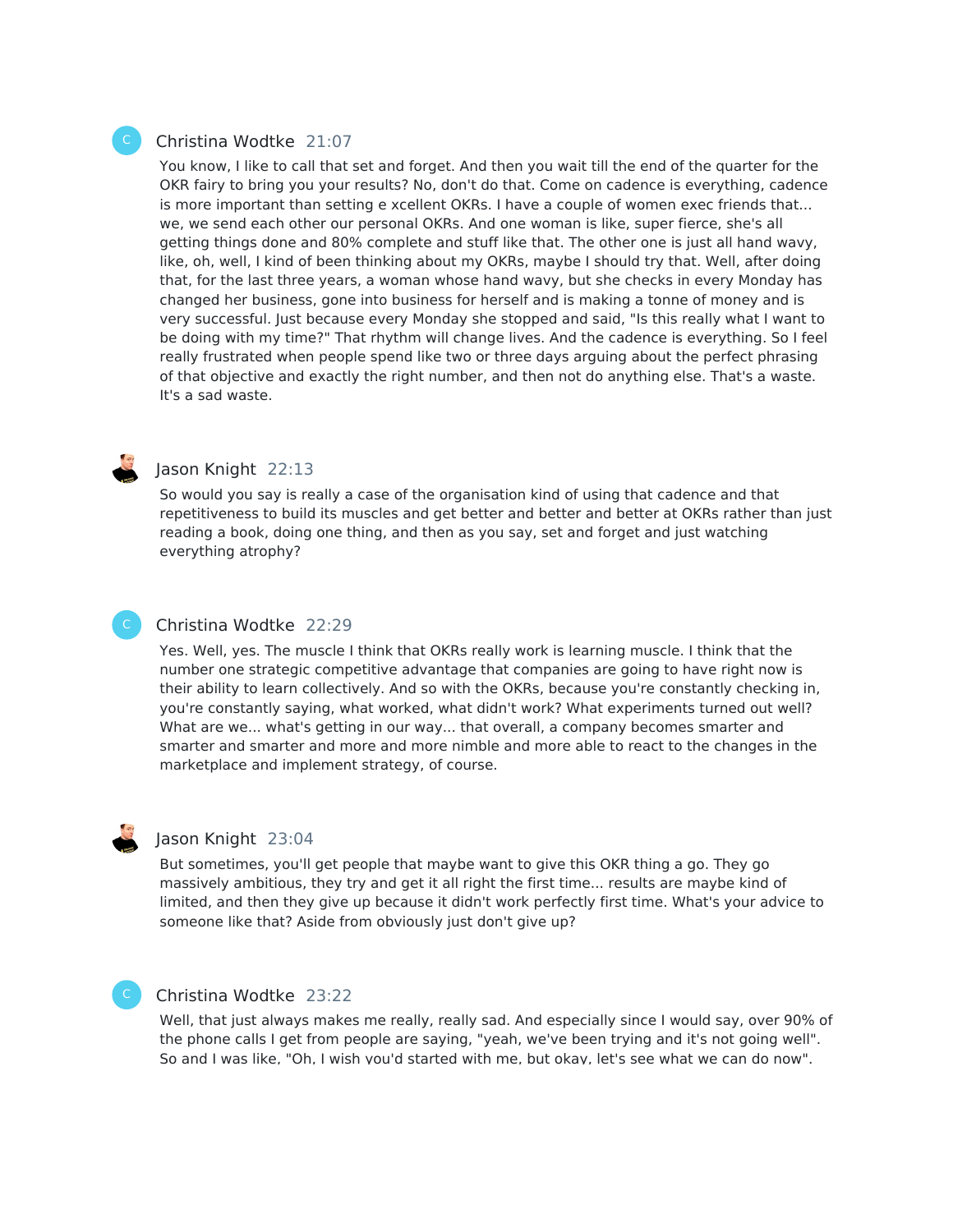#### Christina Wodtke 21:07

You know, I like to call that set and forget. And then you wait till the end of the quarter for the OKR fairy to bring you your results? No, don't do that. Come on cadence is everything, cadence is more important than setting e xcellent OKRs. I have a couple of women exec friends that... we, we send each other our personal OKRs. And one woman is like, super fierce, she's all getting things done and 80% complete and stuff like that. The other one is just all hand wavy, like, oh, well, I kind of been thinking about my OKRs, maybe I should try that. Well, after doing that, for the last three years, a woman whose hand wavy, but she checks in every Monday has changed her business, gone into business for herself and is making a tonne of money and is very successful. Just because every Monday she stopped and said, "Is this really what I want to be doing with my time?" That rhythm will change lives. And the cadence is everything. So I feel really frustrated when people spend like two or three days arguing about the perfect phrasing of that objective and exactly the right number, and then not do anything else. That's a waste. It's a sad waste.



C

### Jason Knight 22:13

So would you say is really a case of the organisation kind of using that cadence and that repetitiveness to build its muscles and get better and better and better at OKRs rather than just reading a book, doing one thing, and then as you say, set and forget and just watching everything atrophy?

# Christina Wodtke 22:29

Yes. Well, yes. The muscle I think that OKRs really work is learning muscle. I think that the number one strategic competitive advantage that companies are going to have right now is their ability to learn collectively. And so with the OKRs, because you're constantly checking in, you're constantly saying, what worked, what didn't work? What experiments turned out well? What are we... what's getting in our way... that overall, a company becomes smarter and smarter and smarter and more and more nimble and more able to react to the changes in the marketplace and implement strategy, of course.

#### Jason Knight 23:04

But sometimes, you'll get people that maybe want to give this OKR thing a go. They go massively ambitious, they try and get it all right the first time... results are maybe kind of limited, and then they give up because it didn't work perfectly first time. What's your advice to someone like that? Aside from obviously just don't give up?

### Christina Wodtke 23:22

Well, that just always makes me really, really sad. And especially since I would say, over 90% of the phone calls I get from people are saying, "yeah, we've been trying and it's not going well". So and I was like, "Oh, I wish you'd started with me, but okay, let's see what we can do now".

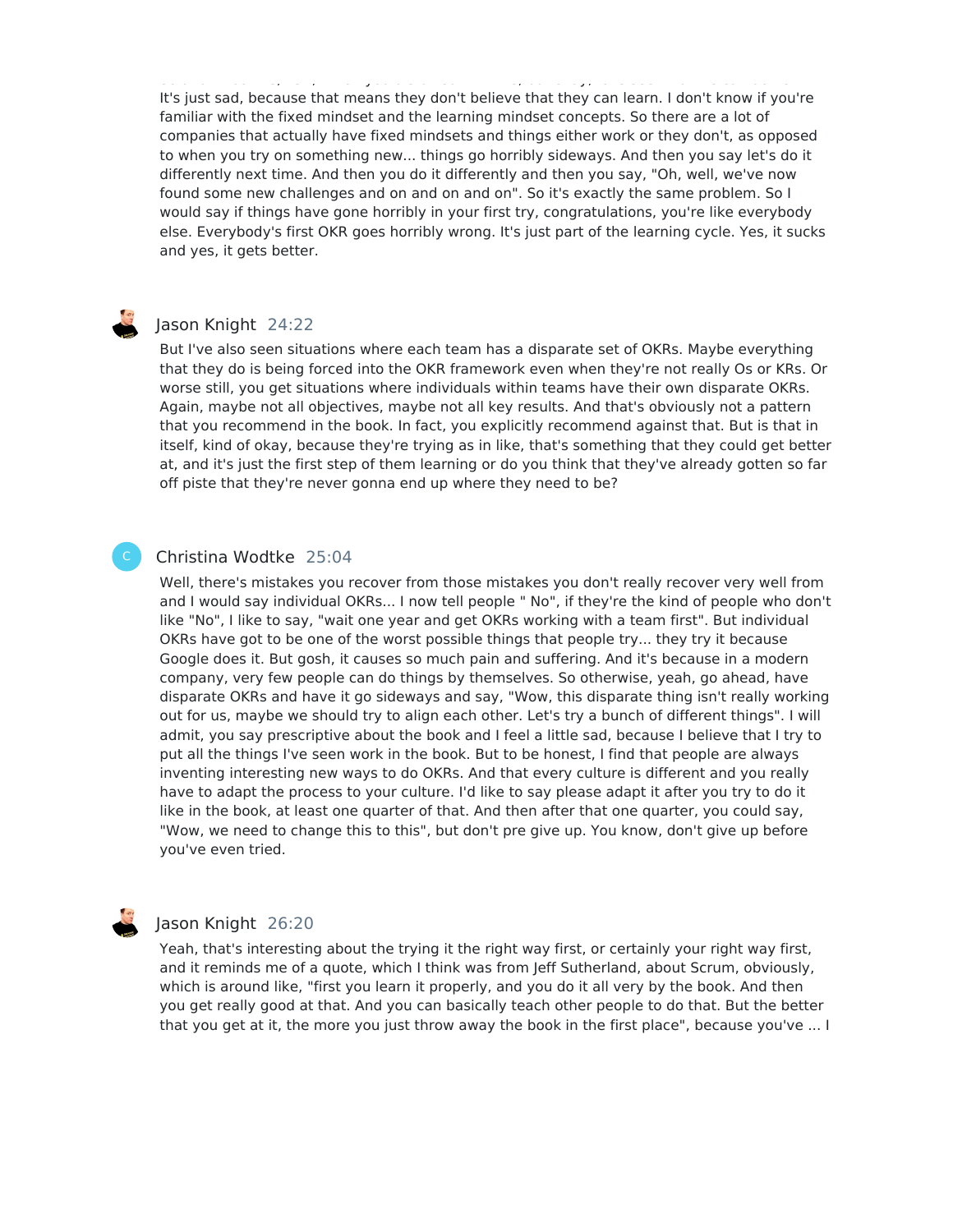So and I was like, "Oh, I wish you'd started with me, but okay, let's see what we can do now". It's just sad, because that means they don't believe that they can learn. I don't know if you're familiar with the fixed mindset and the learning mindset concepts. So there are a lot of companies that actually have fixed mindsets and things either work or they don't, as opposed to when you try on something new... things go horribly sideways. And then you say let's do it differently next time. And then you do it differently and then you say, "Oh, well, we've now found some new challenges and on and on and on". So it's exactly the same problem. So I would say if things have gone horribly in your first try, congratulations, you're like everybody else. Everybody's first OKR goes horribly wrong. It's just part of the learning cycle. Yes, it sucks and yes, it gets better.

# Jason Knight 24:22

But I've also seen situations where each team has a disparate set of OKRs. Maybe everything that they do is being forced into the OKR framework even when they're not really Os or KRs. Or worse still, you get situations where individuals within teams have their own disparate OKRs. Again, maybe not all objectives, maybe not all key results. And that's obviously not a pattern that you recommend in the book. In fact, you explicitly recommend against that. But is that in itself, kind of okay, because they're trying as in like, that's something that they could get better at, and it's just the first step of them learning or do you think that they've already gotten so far off piste that they're never gonna end up where they need to be?

#### Christina Wodtke 25:04

C

Well, there's mistakes you recover from those mistakes you don't really recover very well from and I would say individual OKRs... I now tell people " No", if they're the kind of people who don't like "No", I like to say, "wait one year and get OKRs working with a team first". But individual OKRs have got to be one of the worst possible things that people try... they try it because Google does it. But gosh, it causes so much pain and suffering. And it's because in a modern company, very few people can do things by themselves. So otherwise, yeah, go ahead, have disparate OKRs and have it go sideways and say, "Wow, this disparate thing isn't really working out for us, maybe we should try to align each other. Let's try a bunch of different things". I will admit, you say prescriptive about the book and I feel a little sad, because I believe that I try to put all the things I've seen work in the book. But to be honest, I find that people are always inventing interesting new ways to do OKRs. And that every culture is different and you really have to adapt the process to your culture. I'd like to say please adapt it after you try to do it like in the book, at least one quarter of that. And then after that one quarter, you could say, "Wow, we need to change this to this", but don't pre give up. You know, don't give up before you've even tried.

# Jason Knight 26:20

Yeah, that's interesting about the trying it the right way first, or certainly your right way first, and it reminds me of a quote, which I think was from Jeff Sutherland, about Scrum, obviously, which is around like, "first you learn it properly, and you do it all very by the book. And then you get really good at that. And you can basically teach other people to do that. But the better that you get at it, the more you just throw away the book in the first place", because you've ... I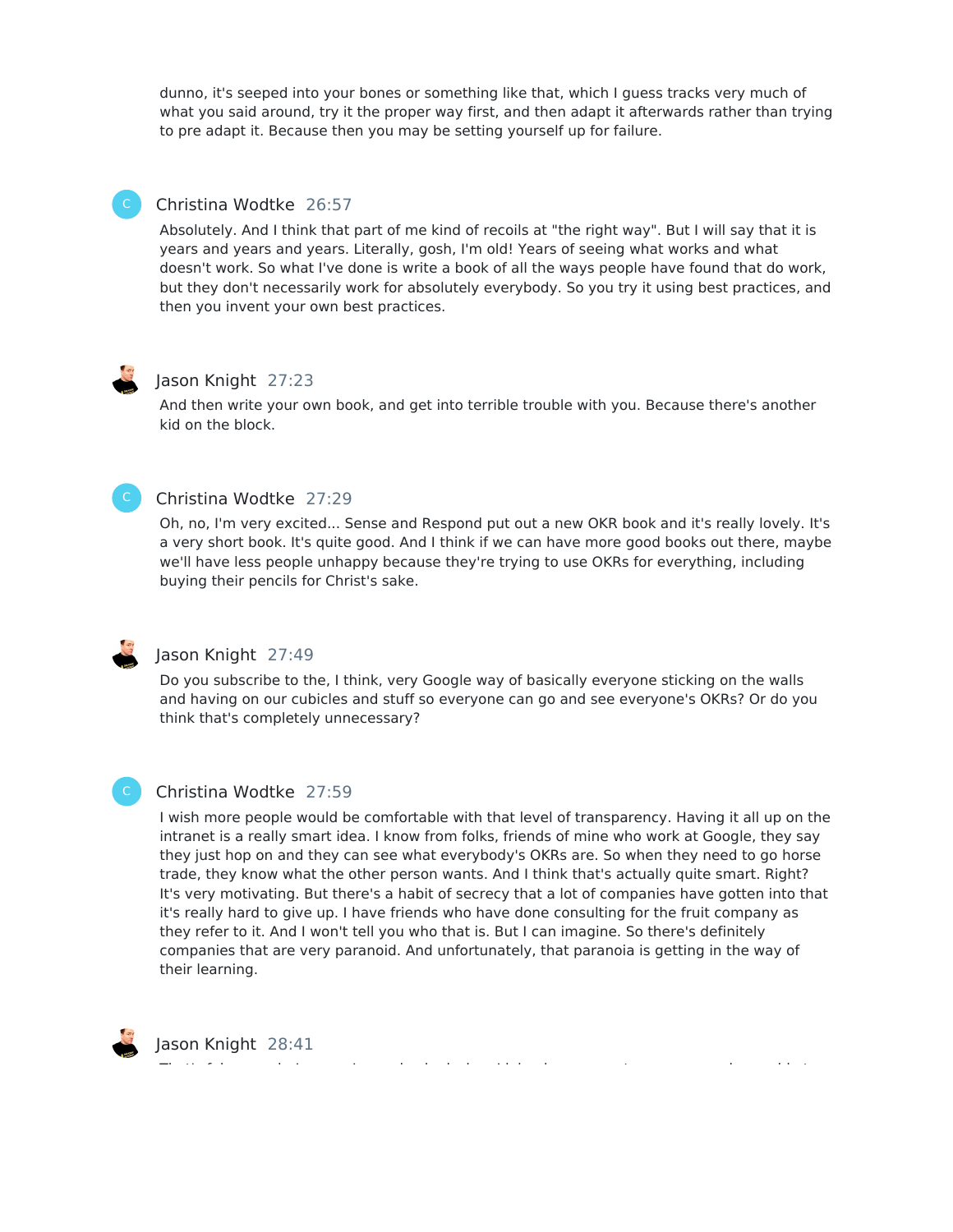dunno, it's seeped into your bones or something like that, which I guess tracks very much of what you said around, try it the proper way first, and then adapt it afterwards rather than trying to pre adapt it. Because then you may be setting yourself up for failure.

# Christina Wodtke 26:57

Absolutely. And I think that part of me kind of recoils at "the right way". But I will say that it is years and years and years. Literally, gosh, I'm old! Years of seeing what works and what doesn't work. So what I've done is write a book of all the ways people have found that do work, but they don't necessarily work for absolutely everybody. So you try it using best practices, and then you invent your own best practices.

# Jason Knight 27:23

And then write your own book, and get into terrible trouble with you. Because there's another kid on the block.

# Christina Wodtke 27:29

Oh, no, I'm very excited... Sense and Respond put out a new OKR book and it's really lovely. It's a very short book. It's quite good. And I think if we can have more good books out there, maybe we'll have less people unhappy because they're trying to use OKRs for everything, including buying their pencils for Christ's sake.



C

## Jason Knight 27:49

Do you subscribe to the, I think, very Google way of basically everyone sticking on the walls and having on our cubicles and stuff so everyone can go and see everyone's OKRs? Or do you think that's completely unnecessary?

#### Christina Wodtke 27:59

I wish more people would be comfortable with that level of transparency. Having it all up on the intranet is a really smart idea. I know from folks, friends of mine who work at Google, they say they just hop on and they can see what everybody's OKRs are. So when they need to go horse trade, they know what the other person wants. And I think that's actually quite smart. Right? It's very motivating. But there's a habit of secrecy that a lot of companies have gotten into that it's really hard to give up. I have friends who have done consulting for the fruit company as they refer to it. And I won't tell you who that is. But I can imagine. So there's definitely companies that are very paranoid. And unfortunately, that paranoia is getting in the way of their learning.



Jason Knight 28:41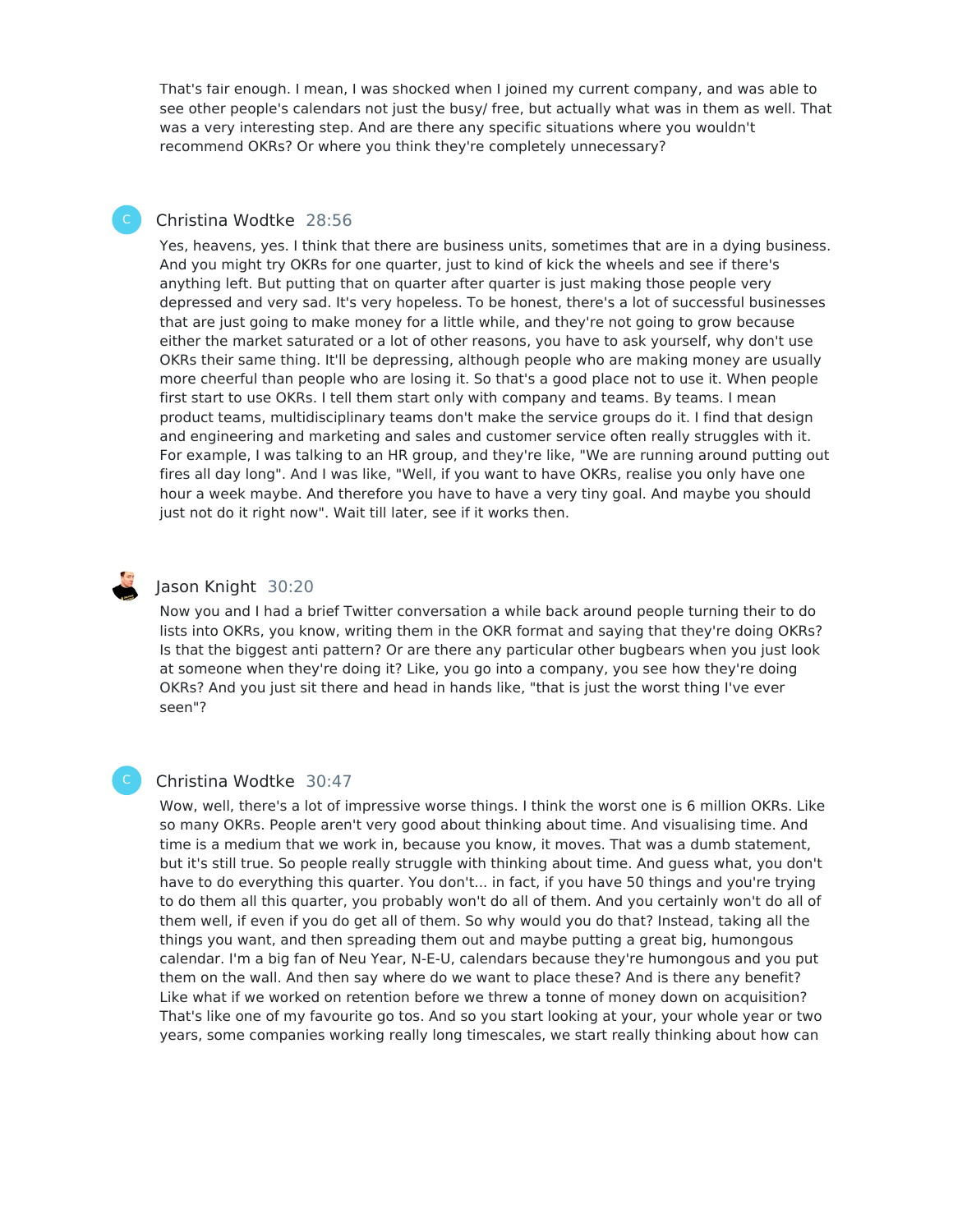That's fair enough. I mean, I was shocked when I joined my current company, and was able to see other people's calendars not just the busy/ free, but actually what was in them as well. That was a very interesting step. And are there any specific situations where you wouldn't recommend OKRs? Or where you think they're completely unnecessary?

# Christina Wodtke 28:56

Yes, heavens, yes. I think that there are business units, sometimes that are in a dying business. And you might try OKRs for one quarter, just to kind of kick the wheels and see if there's anything left. But putting that on quarter after quarter is just making those people very depressed and very sad. It's very hopeless. To be honest, there's a lot of successful businesses that are just going to make money for a little while, and they're not going to grow because either the market saturated or a lot of other reasons, you have to ask yourself, why don't use OKRs their same thing. It'll be depressing, although people who are making money are usually more cheerful than people who are losing it. So that's a good place not to use it. When people first start to use OKRs. I tell them start only with company and teams. By teams. I mean product teams, multidisciplinary teams don't make the service groups do it. I find that design and engineering and marketing and sales and customer service often really struggles with it. For example, I was talking to an HR group, and they're like, "We are running around putting out fires all day long". And I was like, "Well, if you want to have OKRs, realise you only have one hour a week maybe. And therefore you have to have a very tiny goal. And maybe you should just not do it right now". Wait till later, see if it works then.

# Jason Knight 30:20

Now you and I had a brief Twitter conversation a while back around people turning their to do lists into OKRs, you know, writing them in the OKR format and saying that they're doing OKRs? Is that the biggest anti pattern? Or are there any particular other bugbears when you just look at someone when they're doing it? Like, you go into a company, you see how they're doing OKRs? And you just sit there and head in hands like, "that is just the worst thing I've ever seen"?

# C

# Christina Wodtke 30:47

Wow, well, there's a lot of impressive worse things. I think the worst one is 6 million OKRs. Like so many OKRs. People aren't very good about thinking about time. And visualising time. And time is a medium that we work in, because you know, it moves. That was a dumb statement, but it's still true. So people really struggle with thinking about time. And guess what, you don't have to do everything this quarter. You don't... in fact, if you have 50 things and you're trying to do them all this quarter, you probably won't do all of them. And you certainly won't do all of them well, if even if you do get all of them. So why would you do that? Instead, taking all the things you want, and then spreading them out and maybe putting a great big, humongous calendar. I'm a big fan of Neu Year, N-E-U, calendars because they're humongous and you put them on the wall. And then say where do we want to place these? And is there any benefit? Like what if we worked on retention before we threw a tonne of money down on acquisition? That's like one of my favourite go tos. And so you start looking at your, your whole year or two years, some companies working really long timescales, we start really thinking about how can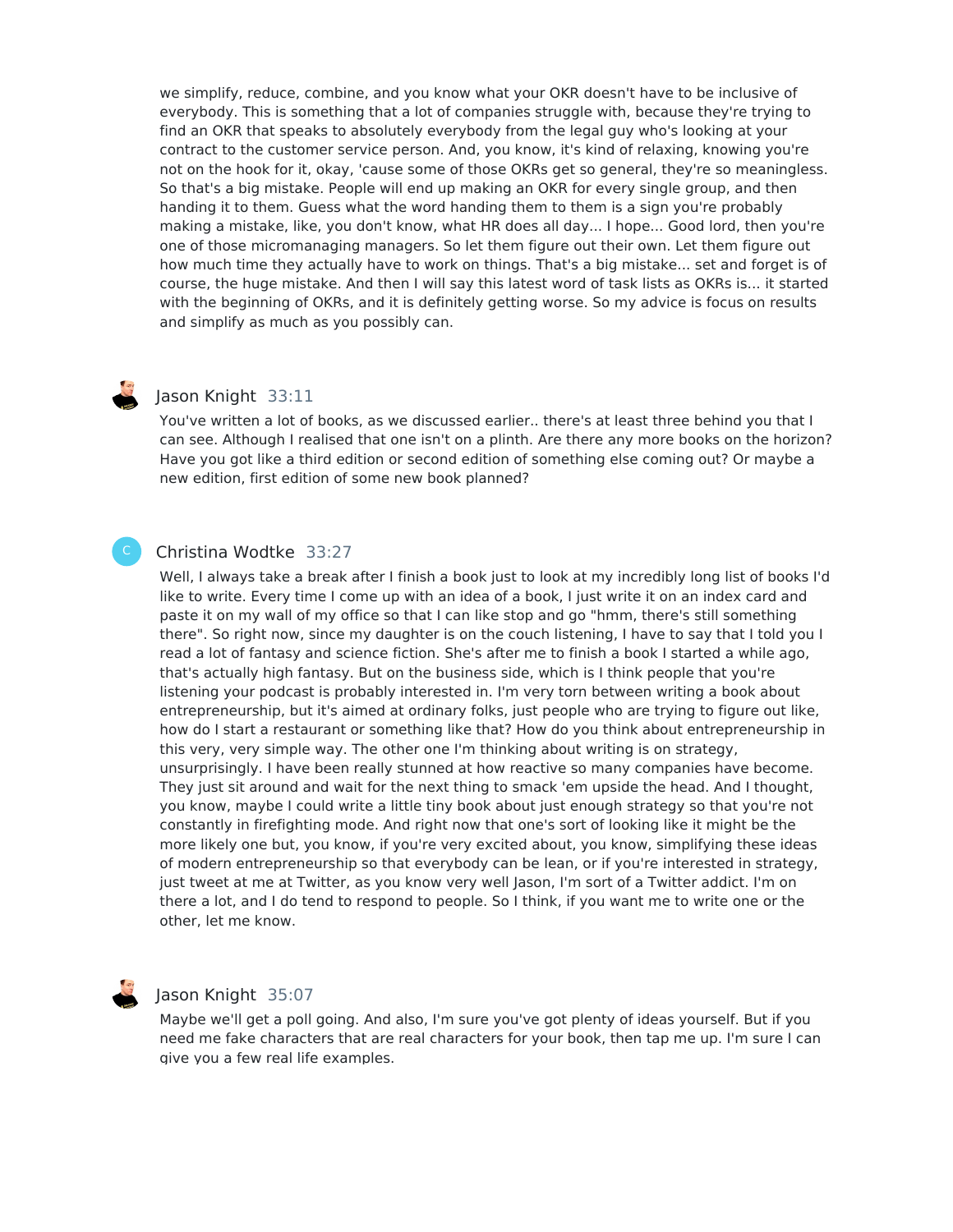we simplify, reduce, combine, and you know what your OKR doesn't have to be inclusive of everybody. This is something that a lot of companies struggle with, because they're trying to find an OKR that speaks to absolutely everybody from the legal guy who's looking at your contract to the customer service person. And, you know, it's kind of relaxing, knowing you're not on the hook for it, okay, 'cause some of those OKRs get so general, they're so meaningless. So that's a big mistake. People will end up making an OKR for every single group, and then handing it to them. Guess what the word handing them to them is a sign you're probably making a mistake, like, you don't know, what HR does all day... I hope... Good lord, then you're one of those micromanaging managers. So let them figure out their own. Let them figure out how much time they actually have to work on things. That's a big mistake... set and forget is of course, the huge mistake. And then I will say this latest word of task lists as OKRs is... it started with the beginning of OKRs, and it is definitely getting worse. So my advice is focus on results and simplify as much as you possibly can.

C

# Jason Knight 33:11

You've written a lot of books, as we discussed earlier.. there's at least three behind you that I can see. Although I realised that one isn't on a plinth. Are there any more books on the horizon? Have you got like a third edition or second edition of something else coming out? Or maybe a new edition, first edition of some new book planned?

# Christina Wodtke 33:27

Well, I always take a break after I finish a book just to look at my incredibly long list of books I'd like to write. Every time I come up with an idea of a book, I just write it on an index card and paste it on my wall of my office so that I can like stop and go "hmm, there's still something there". So right now, since my daughter is on the couch listening, I have to say that I told you I read a lot of fantasy and science fiction. She's after me to finish a book I started a while ago, that's actually high fantasy. But on the business side, which is I think people that you're listening your podcast is probably interested in. I'm very torn between writing a book about entrepreneurship, but it's aimed at ordinary folks, just people who are trying to figure out like, how do I start a restaurant or something like that? How do you think about entrepreneurship in this very, very simple way. The other one I'm thinking about writing is on strategy, unsurprisingly. I have been really stunned at how reactive so many companies have become. They just sit around and wait for the next thing to smack 'em upside the head. And I thought, you know, maybe I could write a little tiny book about just enough strategy so that you're not constantly in firefighting mode. And right now that one's sort of looking like it might be the more likely one but, you know, if you're very excited about, you know, simplifying these ideas of modern entrepreneurship so that everybody can be lean, or if you're interested in strategy, just tweet at me at Twitter, as you know very well Jason, I'm sort of a Twitter addict. I'm on there a lot, and I do tend to respond to people. So I think, if you want me to write one or the other, let me know.

# Jason Knight 35:07

Maybe we'll get a poll going. And also, I'm sure you've got plenty of ideas yourself. But if you need me fake characters that are real characters for your book, then tap me up. I'm sure I can give you a few real life examples.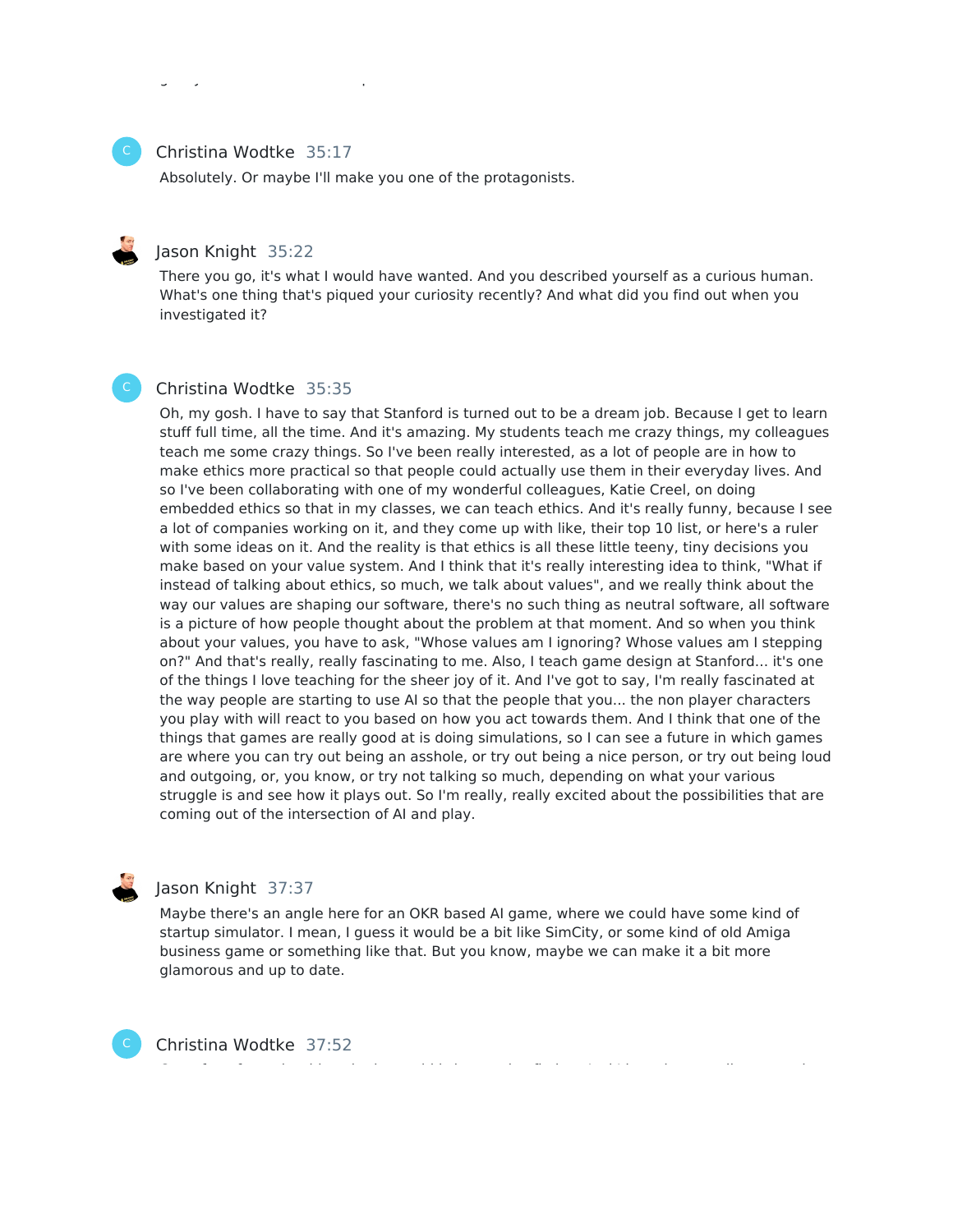#### Christina Wodtke 35:17

Absolutely. Or maybe I'll make you one of the protagonists.

### Jason Knight 35:22

There you go, it's what I would have wanted. And you described yourself as a curious human. What's one thing that's piqued your curiosity recently? And what did you find out when you investigated it?

# Christina Wodtke 35:35

Oh, my gosh. I have to say that Stanford is turned out to be a dream job. Because I get to learn stuff full time, all the time. And it's amazing. My students teach me crazy things, my colleagues teach me some crazy things. So I've been really interested, as a lot of people are in how to make ethics more practical so that people could actually use them in their everyday lives. And so I've been collaborating with one of my wonderful colleagues, Katie Creel, on doing embedded ethics so that in my classes, we can teach ethics. And it's really funny, because I see a lot of companies working on it, and they come up with like, their top 10 list, or here's a ruler with some ideas on it. And the reality is that ethics is all these little teeny, tiny decisions you make based on your value system. And I think that it's really interesting idea to think, "What if instead of talking about ethics, so much, we talk about values", and we really think about the way our values are shaping our software, there's no such thing as neutral software, all software is a picture of how people thought about the problem at that moment. And so when you think about your values, you have to ask, "Whose values am I ignoring? Whose values am I stepping on?" And that's really, really fascinating to me. Also, I teach game design at Stanford... it's one of the things I love teaching for the sheer joy of it. And I've got to say, I'm really fascinated at the way people are starting to use AI so that the people that you... the non player characters you play with will react to you based on how you act towards them. And I think that one of the things that games are really good at is doing simulations, so I can see a future in which games are where you can try out being an asshole, or try out being a nice person, or try out being loud and outgoing, or, you know, or try not talking so much, depending on what your various struggle is and see how it plays out. So I'm really, really excited about the possibilities that are coming out of the intersection of AI and play.



C

# Jason Knight 37:37

Maybe there's an angle here for an OKR based AI game, where we could have some kind of startup simulator. I mean, I guess it would be a bit like SimCity, or some kind of old Amiga business game or something like that. But you know, maybe we can make it a bit more glamorous and up to date.

Christina Wodtke 37:52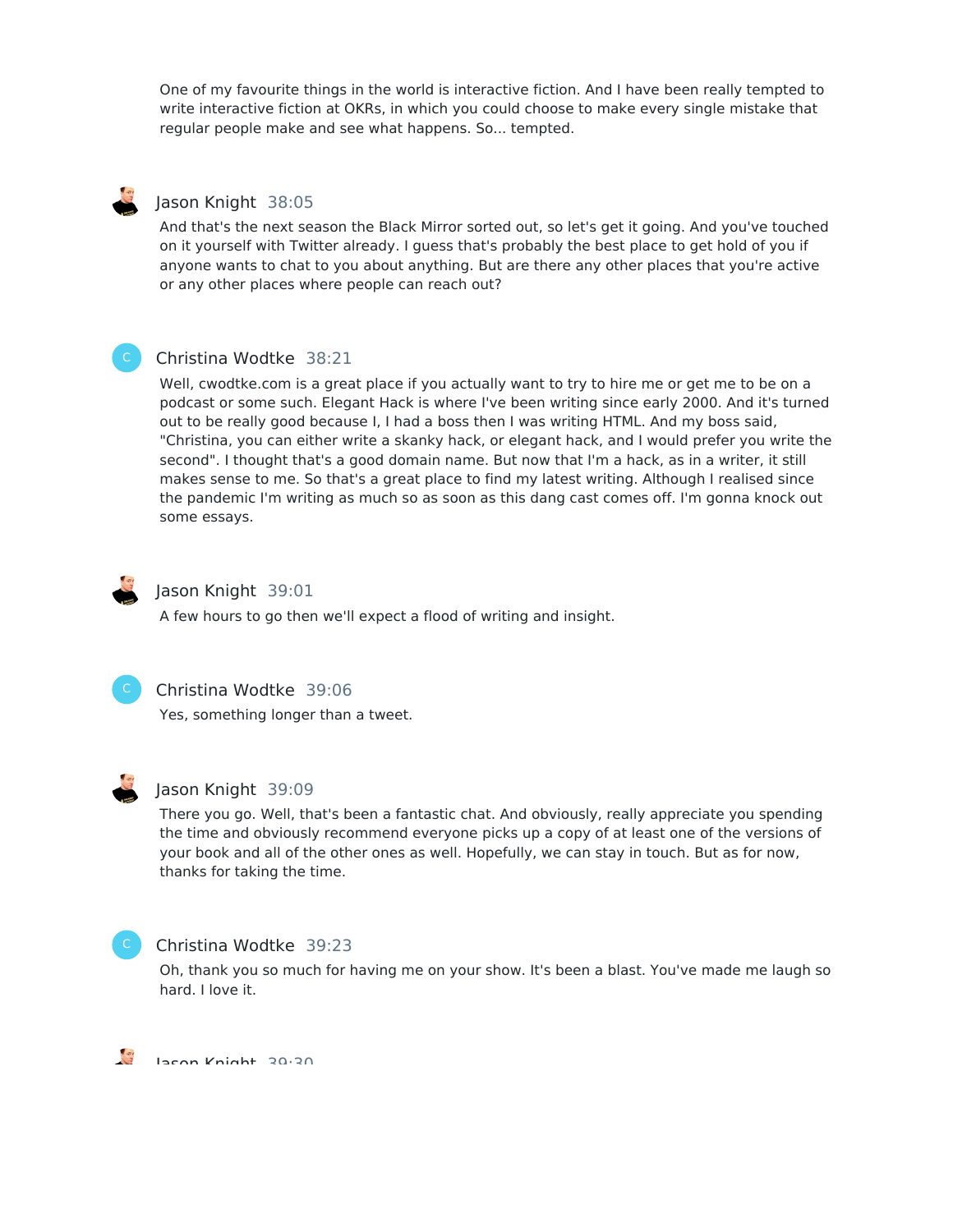One of my favourite things in the world is interactive fiction. And I have been really tempted to write interactive fiction at OKRs, in which you could choose to make every single mistake that regular people make and see what happens. So... tempted.

# Jason Knight 38:05

And that's the next season the Black Mirror sorted out, so let's get it going. And you've touched on it yourself with Twitter already. I guess that's probably the best place to get hold of you if anyone wants to chat to you about anything. But are there any other places that you're active or any other places where people can reach out?



# Christina Wodtke 38:21

Well, cwodtke.com is a great place if you actually want to try to hire me or get me to be on a podcast or some such. Elegant Hack is where I've been writing since early 2000. And it's turned out to be really good because I, I had a boss then I was writing HTML. And my boss said, "Christina, you can either write a skanky hack, or elegant hack, and I would prefer you write the second". I thought that's a good domain name. But now that I'm a hack, as in a writer, it still makes sense to me. So that's a great place to find my latest writing. Although I realised since the pandemic I'm writing as much so as soon as this dang cast comes off. I'm gonna knock out some essays.



# Jason Knight 39:01

A few hours to go then we'll expect a flood of writing and insight.



#### Christina Wodtke 39:06

Yes, something longer than a tweet.



#### Jason Knight 39:09

There you go. Well, that's been a fantastic chat. And obviously, really appreciate you spending the time and obviously recommend everyone picks up a copy of at least one of the versions of your book and all of the other ones as well. Hopefully, we can stay in touch. But as for now, thanks for taking the time.



#### Christina Wodtke 39:23

Oh, thank you so much for having me on your show. It's been a blast. You've made me laugh so hard. I love it.

 $\frac{a}{a}$ Jason Knight 39:30